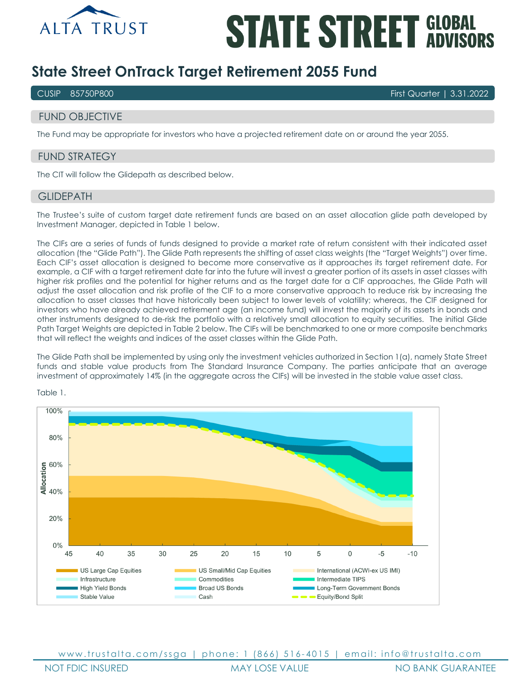

# **STATE STREET GLOBAL**

# **State Street OnTrack Target Retirement 2055 Fund**

CUSIP 85750P800 First Quarter | 3.31.2022

# FUND OBJECTIVE

The Fund may be appropriate for investors who have a projected retirement date on or around the year 2055.

### FUND STRATEGY

The CIT will follow the Glidepath as described below.

#### **GLIDEPATH**

The Trustee's suite of custom target date retirement funds are based on an asset allocation glide path developed by Investment Manager, depicted in Table 1 below.

The CIFs are a series of funds of funds designed to provide a market rate of return consistent with their indicated asset allocation (the "Glide Path"). The Glide Path represents the shifting of asset class weights (the "Target Weights") over time. Each CIF's asset allocation is designed to become more conservative as it approaches its target retirement date. For example, a CIF with a target retirement date far into the future will invest a greater portion of its assets in asset classes with higher risk profiles and the potential for higher returns and as the target date for a CIF approaches, the Glide Path will adjust the asset allocation and risk profile of the CIF to a more conservative approach to reduce risk by increasing the allocation to asset classes that have historically been subject to lower levels of volatility; whereas, the CIF designed for investors who have already achieved retirement age (an income fund) will invest the majority of its assets in bonds and other instruments designed to de-risk the portfolio with a relatively small allocation to equity securities. The initial Glide Path Target Weights are depicted in Table 2 below. The CIFs will be benchmarked to one or more composite benchmarks that will reflect the weights and indices of the asset classes within the Glide Path.

The Glide Path shall be implemented by using only the investment vehicles authorized in Section 1(a), namely State Street funds and stable value products from The Standard Insurance Company. The parties anticipate that an average investment of approximately 14% (in the aggregate across the CIFs) will be invested in the stable value asset class.



Table 1.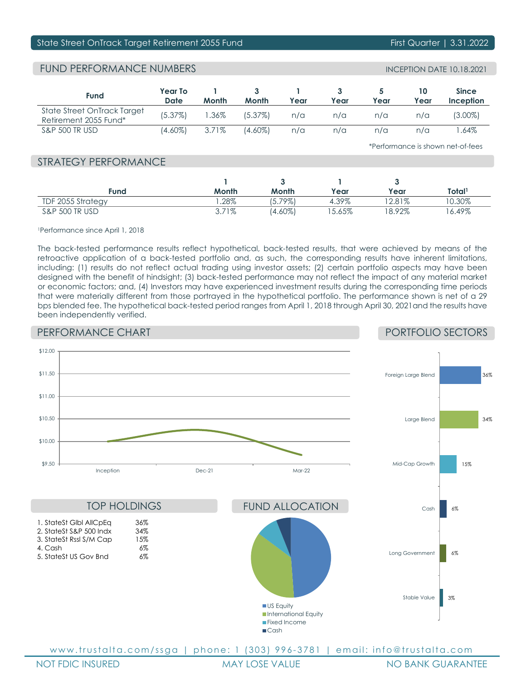#### State Street OnTrack Target Retirement 2055 Fund First Quarter | 3.31.2022

# FUND PERFORMANCE NUMBERS

| <b>Fund</b>                                          | Year To<br>Date | Month           | Month      | Year | Year | Year | Year | <b>Since</b><br>Inception |
|------------------------------------------------------|-----------------|-----------------|------------|------|------|------|------|---------------------------|
| State Street OnTrack Target<br>Retirement 2055 Fund* | (5.37%)         | $^{\circ}$ .36% | $(5.37\%)$ | n/a  | n/a  | n/a  | n/a  | (3.00%)                   |
| <b>S&amp;P 500 TR USD</b>                            | (4.60%)         | 3.71%           | (4.60%)    | n/a  | n/a  | n/a  | n/a  | .64%                      |

\*Performance is shown net-of-fees

### STRATEGY PERFORMANCE

| Fund                      | Month | Month      | Year     | Year     | Total'   |
|---------------------------|-------|------------|----------|----------|----------|
| TDF 2055 Strategy         | .28%  | $15.79\%$  | 4.39%    | 2.81%    | 0.30%    |
| <b>S&amp;P 500 TR USD</b> | 3.71% | $(4.60\%)$ | $5.65\%$ | $8.92\%$ | $6.49\%$ |

1Performance since April 1, 2018

The back-tested performance results reflect hypothetical, back-tested results, that were achieved by means of the retroactive application of a back-tested portfolio and, as such, the corresponding results have inherent limitations, including: (1) results do not reflect actual trading using investor assets; (2) certain portfolio aspects may have been designed with the benefit of hindsight; (3) back-tested performance may not reflect the impact of any material market or economic factors; and, (4) Investors may have experienced investment results during the corresponding time periods that were materially different from those portrayed in the hypothetical portfolio. The performance shown is net of a 29 bps blended fee. The hypothetical back-tested period ranges from April 1, 2018 through April 30, 2021and the results have been independently verified.

# PERFORMANCE CHART

PORTFOLIO SECTORS



NOT FDIC INSURED MAY LOSE VALUE NO BANK GUARANTEE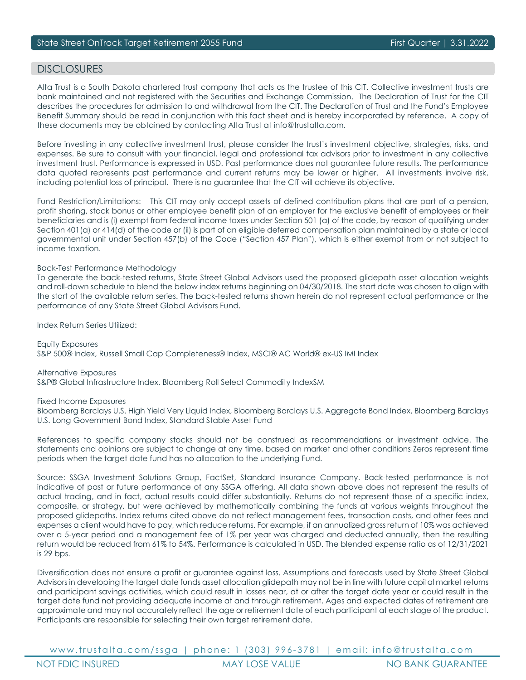#### DISCI OSURES

Alta Trust is a South Dakota chartered trust company that acts as the trustee of this CIT. Collective investment trusts are bank maintained and not registered with the Securities and Exchange Commission. The Declaration of Trust for the CIT describes the procedures for admission to and withdrawal from the CIT. The Declaration of Trust and the Fund's Employee Benefit Summary should be read in conjunction with this fact sheet and is hereby incorporated by reference. A copy of these documents may be obtained by contacting Alta Trust at info@trustalta.com.

Before investing in any collective investment trust, please consider the trust's investment objective, strategies, risks, and expenses. Be sure to consult with your financial, legal and professional tax advisors prior to investment in any collective investment trust. Performance is expressed in USD. Past performance does not guarantee future results. The performance data quoted represents past performance and current returns may be lower or higher. All investments involve risk, including potential loss of principal. There is no guarantee that the CIT will achieve its objective.

Fund Restriction/Limitations: This CIT may only accept assets of defined contribution plans that are part of a pension, profit sharing, stock bonus or other employee benefit plan of an employer for the exclusive benefit of employees or their beneficiaries and is (i) exempt from federal income taxes under Section 501 (a) of the code, by reason of qualifying under Section 401(a) or 414(d) of the code or (ii) is part of an eligible deferred compensation plan maintained by a state or local governmental unit under Section 457(b) of the Code ("Section 457 Plan"), which is either exempt from or not subject to income taxation.

#### Back-Test Performance Methodology

To generate the back-tested returns, State Street Global Advisors used the proposed glidepath asset allocation weights and roll-down schedule to blend the below index returns beginning on 04/30/2018. The start date was chosen to align with the start of the available return series. The back-tested returns shown herein do not represent actual performance or the performance of any State Street Global Advisors Fund.

Index Return Series Utilized:

Equity Exposures S&P 500® Index, Russell Small Cap Completeness® Index, MSCI® AC World® ex-US IMI Index

Alternative Exposures S&P® Global Infrastructure Index, Bloomberg Roll Select Commodity IndexSM

Fixed Income Exposures

Bloomberg Barclays U.S. High Yield Very Liquid Index, Bloomberg Barclays U.S. Aggregate Bond Index, Bloomberg Barclays U.S. Long Government Bond Index, Standard Stable Asset Fund

References to specific company stocks should not be construed as recommendations or investment advice. The statements and opinions are subject to change at any time, based on market and other conditions Zeros represent time periods when the target date fund has no allocation to the underlying Fund.

Source: SSGA Investment Solutions Group, FactSet, Standard Insurance Company. Back-tested performance is not indicative of past or future performance of any SSGA offering. All data shown above does not represent the results of actual trading, and in fact, actual results could differ substantially. Returns do not represent those of a specific index, composite, or strategy, but were achieved by mathematically combining the funds at various weights throughout the proposed glidepaths. Index returns cited above do not reflect management fees, transaction costs, and other fees and expenses a client would have to pay, which reduce returns. For example, if an annualized gross return of 10% was achieved over a 5-year period and a management fee of 1% per year was charged and deducted annually, then the resulting return would be reduced from 61% to 54%. Performance is calculated in USD. The blended expense ratio as of 12/31/2021 is 29 bps.

Diversification does not ensure a profit or guarantee against loss. Assumptions and forecasts used by State Street Global Advisors in developing the target date funds asset allocation glidepath may not be in line with future capital market returns and participant savings activities, which could result in losses near, at or after the target date year or could result in the target date fund not providing adequate income at and through retirement. Ages and expected dates of retirement are approximate and may not accurately reflect the age or retirement date of each participant at each stage of the product. Participants are responsible for selecting their own target retirement date.

www.trustalta.com/ ssga | phone: 1 ( 303 ) 996 - 3781 | email: info@trustalta.com